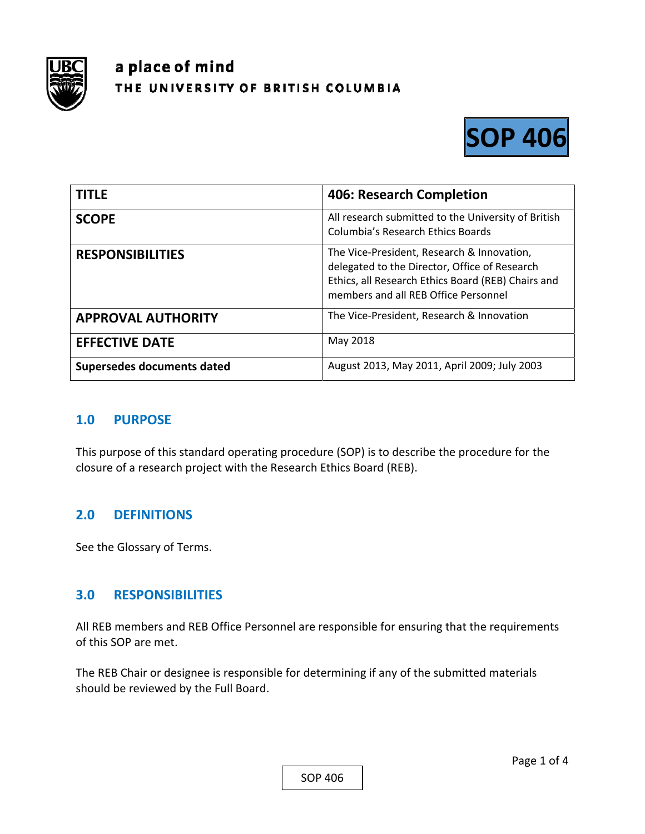

# a place of mind THE UNIVERSITY OF BRITISH COLUMBIA



| <b>TITLE</b>               | <b>406: Research Completion</b>                                                                                                                                                           |
|----------------------------|-------------------------------------------------------------------------------------------------------------------------------------------------------------------------------------------|
| <b>SCOPE</b>               | All research submitted to the University of British<br>Columbia's Research Ethics Boards                                                                                                  |
| <b>RESPONSIBILITIES</b>    | The Vice-President, Research & Innovation,<br>delegated to the Director, Office of Research<br>Ethics, all Research Ethics Board (REB) Chairs and<br>members and all REB Office Personnel |
| <b>APPROVAL AUTHORITY</b>  | The Vice-President, Research & Innovation                                                                                                                                                 |
| <b>EFFECTIVE DATE</b>      | May 2018                                                                                                                                                                                  |
| Supersedes documents dated | August 2013, May 2011, April 2009; July 2003                                                                                                                                              |

#### **1.0 PURPOSE**

This purpose of this standard operating procedure (SOP) is to describe the procedure for the closure of a research project with the Research Ethics Board (REB).

## **2.0 DEFINITIONS**

See the Glossary of Terms.

## **3.0 RESPONSIBILITIES**

All REB members and REB Office Personnel are responsible for ensuring that the requirements of this SOP are met.

The REB Chair or designee is responsible for determining if any of the submitted materials should be reviewed by the Full Board.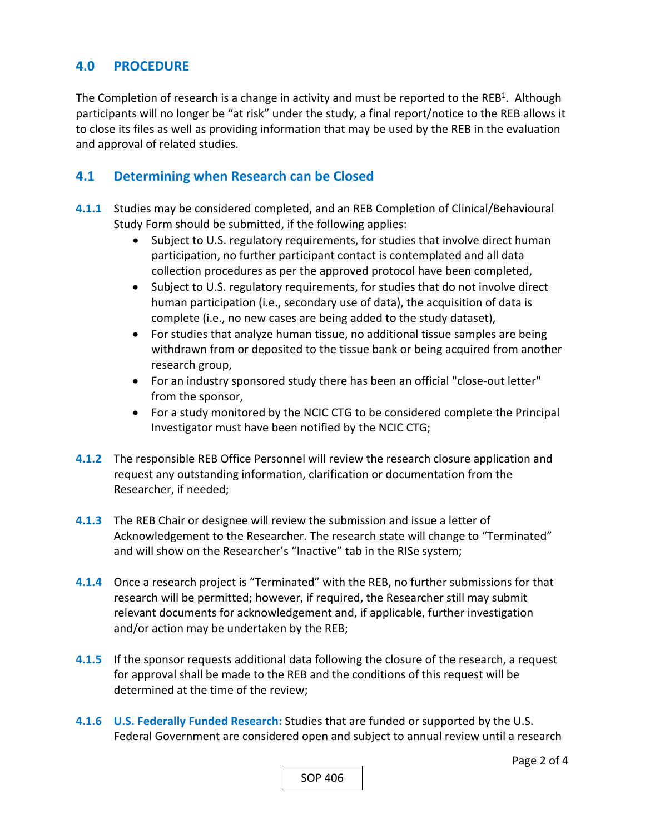## **4.0 PROCEDURE**

The Completion of research is a change in activity and must be reported to the REB<sup>1</sup>. Although participants will no longer be "at risk" under the study, a final report/notice to the REB allows it to close its files as well as providing information that may be used by the REB in the evaluation and approval of related studies.

## **4.1 Determining when Research can be Closed**

- **4.1.1** Studies may be considered completed, and an REB Completion of Clinical/Behavioural Study Form should be submitted, if the following applies:
	- Subject to U.S. regulatory requirements, for studies that involve direct human participation, no further participant contact is contemplated and all data collection procedures as per the approved protocol have been completed,
	- Subject to U.S. regulatory requirements, for studies that do not involve direct human participation (i.e., secondary use of data), the acquisition of data is complete (i.e., no new cases are being added to the study dataset),
	- For studies that analyze human tissue, no additional tissue samples are being withdrawn from or deposited to the tissue bank or being acquired from another research group,
	- For an industry sponsored study there has been an official "close‐out letter" from the sponsor,
	- For a study monitored by the NCIC CTG to be considered complete the Principal Investigator must have been notified by the NCIC CTG;
- **4.1.2** The responsible REB Office Personnel will review the research closure application and request any outstanding information, clarification or documentation from the Researcher, if needed;
- **4.1.3**  The REB Chair or designee will review the submission and issue a letter of Acknowledgement to the Researcher. The research state will change to "Terminated" and will show on the Researcher's "Inactive" tab in the RISe system;
- **4.1.4**  Once a research project is "Terminated" with the REB, no further submissions for that research will be permitted; however, if required, the Researcher still may submit relevant documents for acknowledgement and, if applicable, further investigation and/or action may be undertaken by the REB;
- **4.1.5**  If the sponsor requests additional data following the closure of the research, a request for approval shall be made to the REB and the conditions of this request will be determined at the time of the review;
- **4.1.6 U.S. Federally Funded Research:** Studies that are funded or supported by the U.S. Federal Government are considered open and subject to annual review until a research

SOP 406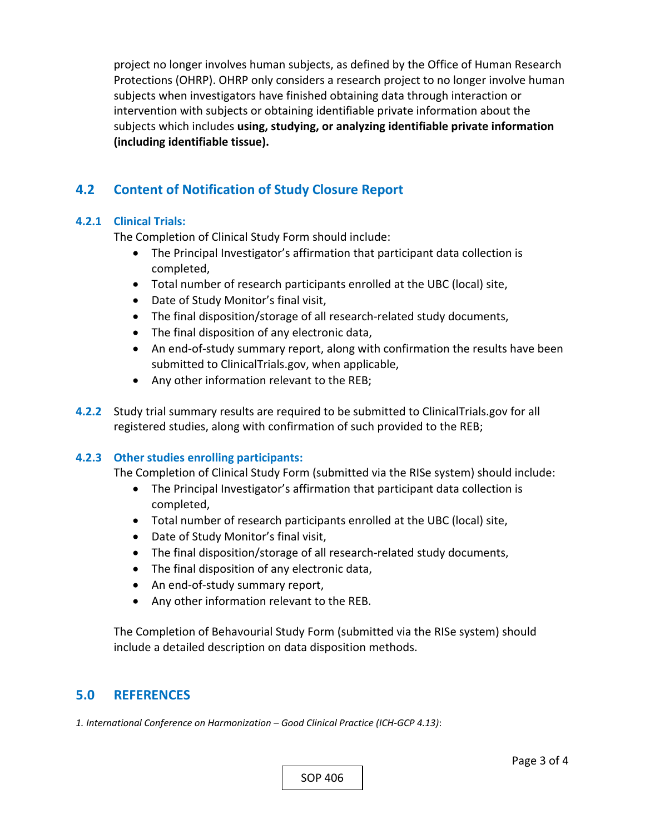project no longer involves human subjects, as defined by the Office of Human Research Protections (OHRP). OHRP only considers a research project to no longer involve human subjects when investigators have finished obtaining data through interaction or intervention with subjects or obtaining identifiable private information about the subjects which includes **using, studying, or analyzing identifiable private information (including identifiable tissue).**

## **4.2 Content of Notification of Study Closure Report**

#### **4.2.1 Clinical Trials:**

The Completion of Clinical Study Form should include:

- The Principal Investigator's affirmation that participant data collection is completed,
- Total number of research participants enrolled at the UBC (local) site,
- Date of Study Monitor's final visit,
- The final disposition/storage of all research‐related study documents,
- The final disposition of any electronic data,
- An end-of-study summary report, along with confirmation the results have been submitted to ClinicalTrials.gov, when applicable,
- Any other information relevant to the REB;
- **4.2.2** Study trial summary results are required to be submitted to ClinicalTrials.gov for all registered studies, along with confirmation of such provided to the REB;

#### **4.2.3 Other studies enrolling participants:**

The Completion of Clinical Study Form (submitted via the RISe system) should include:

- The Principal Investigator's affirmation that participant data collection is completed,
- Total number of research participants enrolled at the UBC (local) site,
- Date of Study Monitor's final visit,
- The final disposition/storage of all research-related study documents,
- The final disposition of any electronic data,
- An end-of-study summary report,
- Any other information relevant to the REB.

The Completion of Behavourial Study Form (submitted via the RISe system) should include a detailed description on data disposition methods.

#### **5.0 REFERENCES**

*1. International Conference on Harmonization – Good Clinical Practice (ICH‐GCP 4.13)*: